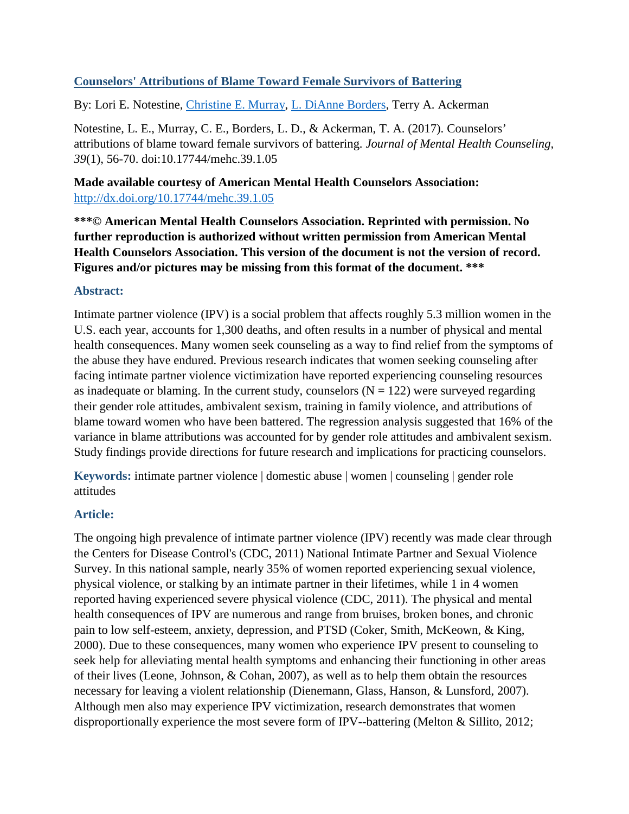## **Counselors' Attributions of Blame Toward Female Survivors of Battering**

By: Lori E. Notestine, [Christine E. Murray,](http://libres.uncg.edu/ir/uncg/clist.aspx?id=894) [L. DiAnne](http://libres.uncg.edu/ir/uncg/clist.aspx?id=1147) Borders, Terry A. Ackerman

Notestine, L. E., Murray, C. E., Borders, L. D., & Ackerman, T. A. (2017). Counselors' attributions of blame toward female survivors of battering. *Journal of Mental Health Counseling, 39*(1), 56-70. doi:10.17744/mehc.39.1.05

## **Made available courtesy of American Mental Health Counselors Association:**  <http://dx.doi.org/10.17744/mehc.39.1.05>

**\*\*\*© American Mental Health Counselors Association. Reprinted with permission. No further reproduction is authorized without written permission from American Mental Health Counselors Association. This version of the document is not the version of record. Figures and/or pictures may be missing from this format of the document. \*\*\***

#### **Abstract:**

Intimate partner violence (IPV) is a social problem that affects roughly 5.3 million women in the U.S. each year, accounts for 1,300 deaths, and often results in a number of physical and mental health consequences. Many women seek counseling as a way to find relief from the symptoms of the abuse they have endured. Previous research indicates that women seeking counseling after facing intimate partner violence victimization have reported experiencing counseling resources as inadequate or blaming. In the current study, counselors  $(N = 122)$  were surveyed regarding their gender role attitudes, ambivalent sexism, training in family violence, and attributions of blame toward women who have been battered. The regression analysis suggested that 16% of the variance in blame attributions was accounted for by gender role attitudes and ambivalent sexism. Study findings provide directions for future research and implications for practicing counselors.

**Keywords:** intimate partner violence | domestic abuse | women | counseling | gender role attitudes

## **Article:**

The ongoing high prevalence of intimate partner violence (IPV) recently was made clear through the Centers for Disease Control's (CDC, 2011) National Intimate Partner and Sexual Violence Survey. In this national sample, nearly 35% of women reported experiencing sexual violence, physical violence, or stalking by an intimate partner in their lifetimes, while 1 in 4 women reported having experienced severe physical violence (CDC, 2011). The physical and mental health consequences of IPV are numerous and range from bruises, broken bones, and chronic pain to low self-esteem, anxiety, depression, and PTSD (Coker, Smith, McKeown, & King, 2000). Due to these consequences, many women who experience IPV present to counseling to seek help for alleviating mental health symptoms and enhancing their functioning in other areas of their lives (Leone, Johnson, & Cohan, 2007), as well as to help them obtain the resources necessary for leaving a violent relationship (Dienemann, Glass, Hanson, & Lunsford, 2007). Although men also may experience IPV victimization, research demonstrates that women disproportionally experience the most severe form of IPV--battering (Melton & Sillito, 2012;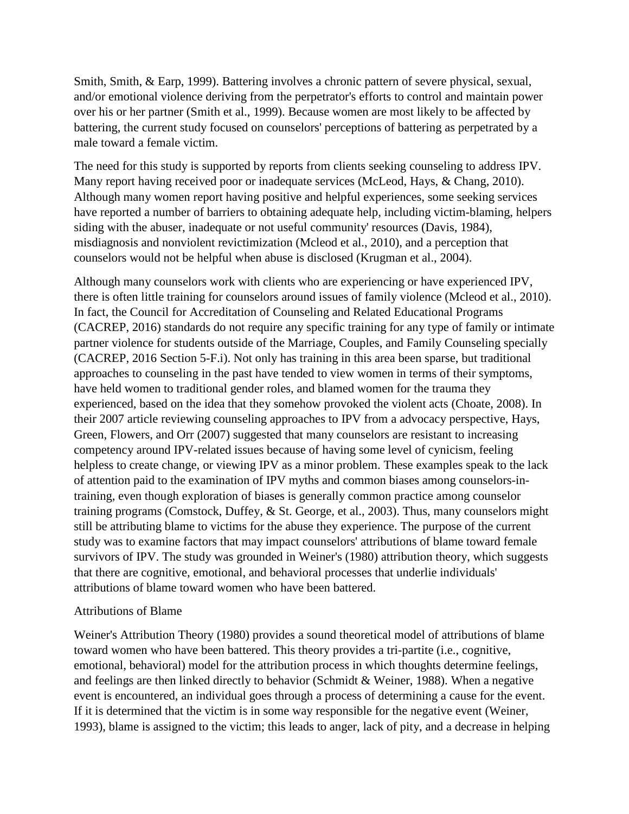Smith, Smith, & Earp, 1999). Battering involves a chronic pattern of severe physical, sexual, and/or emotional violence deriving from the perpetrator's efforts to control and maintain power over his or her partner (Smith et al., 1999). Because women are most likely to be affected by battering, the current study focused on counselors' perceptions of battering as perpetrated by a male toward a female victim.

The need for this study is supported by reports from clients seeking counseling to address IPV. Many report having received poor or inadequate services (McLeod, Hays, & Chang, 2010). Although many women report having positive and helpful experiences, some seeking services have reported a number of barriers to obtaining adequate help, including victim-blaming, helpers siding with the abuser, inadequate or not useful community' resources (Davis, 1984), misdiagnosis and nonviolent revictimization (Mcleod et al., 2010), and a perception that counselors would not be helpful when abuse is disclosed (Krugman et al., 2004).

Although many counselors work with clients who are experiencing or have experienced IPV, there is often little training for counselors around issues of family violence (Mcleod et al., 2010). In fact, the Council for Accreditation of Counseling and Related Educational Programs (CACREP, 2016) standards do not require any specific training for any type of family or intimate partner violence for students outside of the Marriage, Couples, and Family Counseling specially (CACREP, 2016 Section 5-F.i). Not only has training in this area been sparse, but traditional approaches to counseling in the past have tended to view women in terms of their symptoms, have held women to traditional gender roles, and blamed women for the trauma they experienced, based on the idea that they somehow provoked the violent acts (Choate, 2008). In their 2007 article reviewing counseling approaches to IPV from a advocacy perspective, Hays, Green, Flowers, and Orr (2007) suggested that many counselors are resistant to increasing competency around IPV-related issues because of having some level of cynicism, feeling helpless to create change, or viewing IPV as a minor problem. These examples speak to the lack of attention paid to the examination of IPV myths and common biases among counselors-intraining, even though exploration of biases is generally common practice among counselor training programs (Comstock, Duffey, & St. George, et al., 2003). Thus, many counselors might still be attributing blame to victims for the abuse they experience. The purpose of the current study was to examine factors that may impact counselors' attributions of blame toward female survivors of IPV. The study was grounded in Weiner's (1980) attribution theory, which suggests that there are cognitive, emotional, and behavioral processes that underlie individuals' attributions of blame toward women who have been battered.

#### Attributions of Blame

Weiner's Attribution Theory (1980) provides a sound theoretical model of attributions of blame toward women who have been battered. This theory provides a tri-partite (i.e., cognitive, emotional, behavioral) model for the attribution process in which thoughts determine feelings, and feelings are then linked directly to behavior (Schmidt & Weiner, 1988). When a negative event is encountered, an individual goes through a process of determining a cause for the event. If it is determined that the victim is in some way responsible for the negative event (Weiner, 1993), blame is assigned to the victim; this leads to anger, lack of pity, and a decrease in helping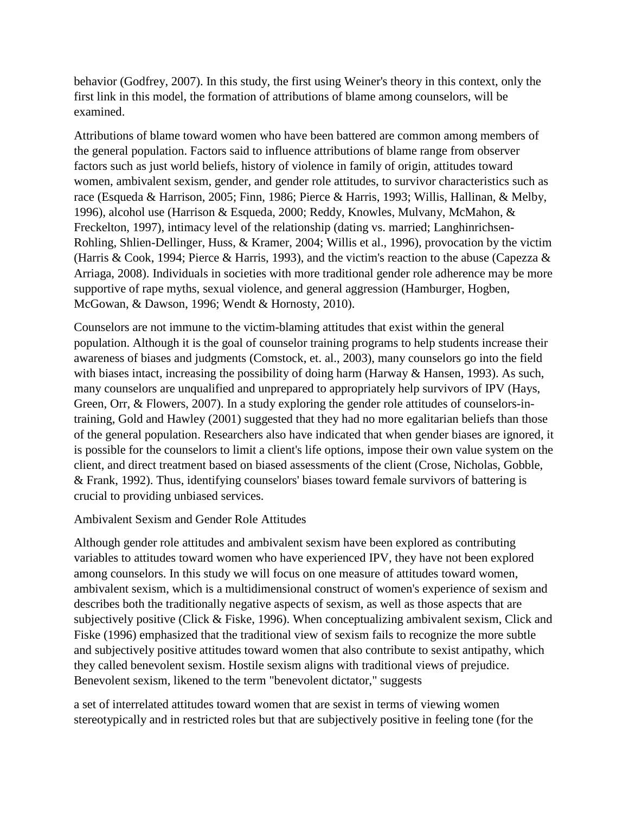behavior (Godfrey, 2007). In this study, the first using Weiner's theory in this context, only the first link in this model, the formation of attributions of blame among counselors, will be examined.

Attributions of blame toward women who have been battered are common among members of the general population. Factors said to influence attributions of blame range from observer factors such as just world beliefs, history of violence in family of origin, attitudes toward women, ambivalent sexism, gender, and gender role attitudes, to survivor characteristics such as race (Esqueda & Harrison, 2005; Finn, 1986; Pierce & Harris, 1993; Willis, Hallinan, & Melby, 1996), alcohol use (Harrison & Esqueda, 2000; Reddy, Knowles, Mulvany, McMahon, & Freckelton, 1997), intimacy level of the relationship (dating vs. married; Langhinrichsen-Rohling, Shlien-Dellinger, Huss, & Kramer, 2004; Willis et al., 1996), provocation by the victim (Harris & Cook, 1994; Pierce & Harris, 1993), and the victim's reaction to the abuse (Capezza & Arriaga, 2008). Individuals in societies with more traditional gender role adherence may be more supportive of rape myths, sexual violence, and general aggression (Hamburger, Hogben, McGowan, & Dawson, 1996; Wendt & Hornosty, 2010).

Counselors are not immune to the victim-blaming attitudes that exist within the general population. Although it is the goal of counselor training programs to help students increase their awareness of biases and judgments (Comstock, et. al., 2003), many counselors go into the field with biases intact, increasing the possibility of doing harm (Harway & Hansen, 1993). As such, many counselors are unqualified and unprepared to appropriately help survivors of IPV (Hays, Green, Orr, & Flowers, 2007). In a study exploring the gender role attitudes of counselors-intraining, Gold and Hawley (2001) suggested that they had no more egalitarian beliefs than those of the general population. Researchers also have indicated that when gender biases are ignored, it is possible for the counselors to limit a client's life options, impose their own value system on the client, and direct treatment based on biased assessments of the client (Crose, Nicholas, Gobble, & Frank, 1992). Thus, identifying counselors' biases toward female survivors of battering is crucial to providing unbiased services.

#### Ambivalent Sexism and Gender Role Attitudes

Although gender role attitudes and ambivalent sexism have been explored as contributing variables to attitudes toward women who have experienced IPV, they have not been explored among counselors. In this study we will focus on one measure of attitudes toward women, ambivalent sexism, which is a multidimensional construct of women's experience of sexism and describes both the traditionally negative aspects of sexism, as well as those aspects that are subjectively positive (Click & Fiske, 1996). When conceptualizing ambivalent sexism, Click and Fiske (1996) emphasized that the traditional view of sexism fails to recognize the more subtle and subjectively positive attitudes toward women that also contribute to sexist antipathy, which they called benevolent sexism. Hostile sexism aligns with traditional views of prejudice. Benevolent sexism, likened to the term "benevolent dictator," suggests

a set of interrelated attitudes toward women that are sexist in terms of viewing women stereotypically and in restricted roles but that are subjectively positive in feeling tone (for the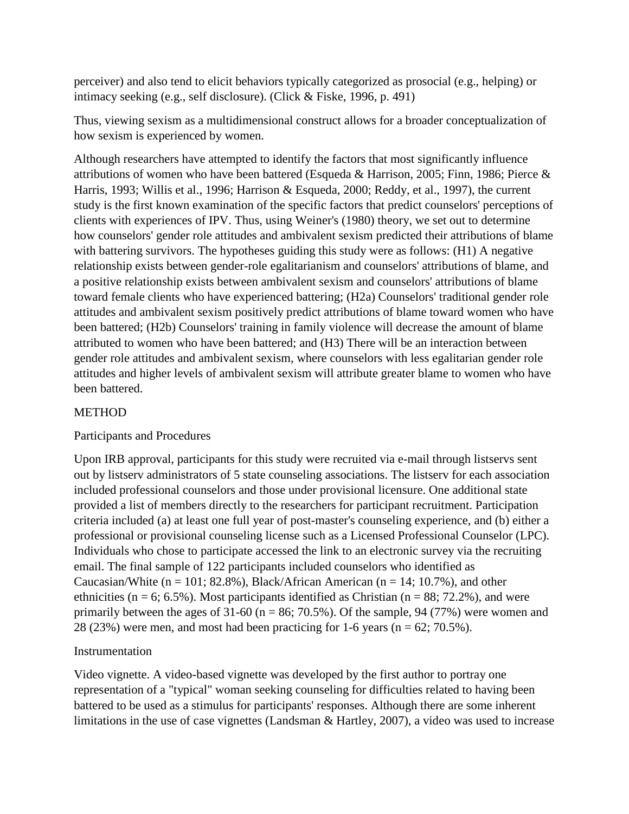perceiver) and also tend to elicit behaviors typically categorized as prosocial (e.g., helping) or intimacy seeking (e.g., self disclosure). (Click & Fiske, 1996, p. 491)

Thus, viewing sexism as a multidimensional construct allows for a broader conceptualization of how sexism is experienced by women.

Although researchers have attempted to identify the factors that most significantly influence attributions of women who have been battered (Esqueda & Harrison, 2005; Finn, 1986; Pierce & Harris, 1993; Willis et al., 1996; Harrison & Esqueda, 2000; Reddy, et al., 1997), the current study is the first known examination of the specific factors that predict counselors' perceptions of clients with experiences of IPV. Thus, using Weiner's (1980) theory, we set out to determine how counselors' gender role attitudes and ambivalent sexism predicted their attributions of blame with battering survivors. The hypotheses guiding this study were as follows: (H1) A negative relationship exists between gender-role egalitarianism and counselors' attributions of blame, and a positive relationship exists between ambivalent sexism and counselors' attributions of blame toward female clients who have experienced battering; (H2a) Counselors' traditional gender role attitudes and ambivalent sexism positively predict attributions of blame toward women who have been battered; (H2b) Counselors' training in family violence will decrease the amount of blame attributed to women who have been battered; and (H3) There will be an interaction between gender role attitudes and ambivalent sexism, where counselors with less egalitarian gender role attitudes and higher levels of ambivalent sexism will attribute greater blame to women who have been battered.

## **METHOD**

## Participants and Procedures

Upon IRB approval, participants for this study were recruited via e-mail through listservs sent out by listserv administrators of 5 state counseling associations. The listserv for each association included professional counselors and those under provisional licensure. One additional state provided a list of members directly to the researchers for participant recruitment. Participation criteria included (a) at least one full year of post-master's counseling experience, and (b) either a professional or provisional counseling license such as a Licensed Professional Counselor (LPC). Individuals who chose to participate accessed the link to an electronic survey via the recruiting email. The final sample of 122 participants included counselors who identified as Caucasian/White ( $n = 101$ ; 82.8%), Black/African American ( $n = 14$ ; 10.7%), and other ethnicities ( $n = 6$ ; 6.5%). Most participants identified as Christian ( $n = 88$ ; 72.2%), and were primarily between the ages of  $31-60$  (n = 86; 70.5%). Of the sample, 94 (77%) were women and 28 (23%) were men, and most had been practicing for 1-6 years ( $n = 62$ ; 70.5%).

## Instrumentation

Video vignette. A video-based vignette was developed by the first author to portray one representation of a "typical" woman seeking counseling for difficulties related to having been battered to be used as a stimulus for participants' responses. Although there are some inherent limitations in the use of case vignettes (Landsman & Hartley, 2007), a video was used to increase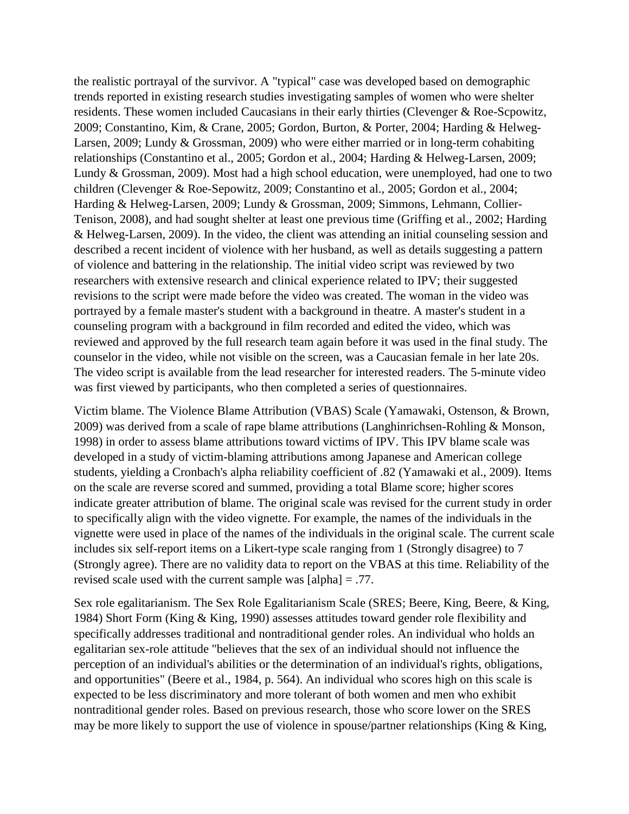the realistic portrayal of the survivor. A "typical" case was developed based on demographic trends reported in existing research studies investigating samples of women who were shelter residents. These women included Caucasians in their early thirties (Clevenger & Roe-Scpowitz, 2009; Constantino, Kim, & Crane, 2005; Gordon, Burton, & Porter, 2004; Harding & Helweg-Larsen, 2009; Lundy & Grossman, 2009) who were either married or in long-term cohabiting relationships (Constantino et al., 2005; Gordon et al., 2004; Harding & Helweg-Larsen, 2009; Lundy & Grossman, 2009). Most had a high school education, were unemployed, had one to two children (Clevenger & Roe-Sepowitz, 2009; Constantino et al., 2005; Gordon et al., 2004; Harding & Helweg-Larsen, 2009; Lundy & Grossman, 2009; Simmons, Lehmann, Collier-Tenison, 2008), and had sought shelter at least one previous time (Griffing et al., 2002; Harding & Helweg-Larsen, 2009). In the video, the client was attending an initial counseling session and described a recent incident of violence with her husband, as well as details suggesting a pattern of violence and battering in the relationship. The initial video script was reviewed by two researchers with extensive research and clinical experience related to IPV; their suggested revisions to the script were made before the video was created. The woman in the video was portrayed by a female master's student with a background in theatre. A master's student in a counseling program with a background in film recorded and edited the video, which was reviewed and approved by the full research team again before it was used in the final study. The counselor in the video, while not visible on the screen, was a Caucasian female in her late 20s. The video script is available from the lead researcher for interested readers. The 5-minute video was first viewed by participants, who then completed a series of questionnaires.

Victim blame. The Violence Blame Attribution (VBAS) Scale (Yamawaki, Ostenson, & Brown, 2009) was derived from a scale of rape blame attributions (Langhinrichsen-Rohling & Monson, 1998) in order to assess blame attributions toward victims of IPV. This IPV blame scale was developed in a study of victim-blaming attributions among Japanese and American college students, yielding a Cronbach's alpha reliability coefficient of .82 (Yamawaki et al., 2009). Items on the scale are reverse scored and summed, providing a total Blame score; higher scores indicate greater attribution of blame. The original scale was revised for the current study in order to specifically align with the video vignette. For example, the names of the individuals in the vignette were used in place of the names of the individuals in the original scale. The current scale includes six self-report items on a Likert-type scale ranging from 1 (Strongly disagree) to 7 (Strongly agree). There are no validity data to report on the VBAS at this time. Reliability of the revised scale used with the current sample was [alpha] = .77.

Sex role egalitarianism. The Sex Role Egalitarianism Scale (SRES; Beere, King, Beere, & King, 1984) Short Form (King & King, 1990) assesses attitudes toward gender role flexibility and specifically addresses traditional and nontraditional gender roles. An individual who holds an egalitarian sex-role attitude "believes that the sex of an individual should not influence the perception of an individual's abilities or the determination of an individual's rights, obligations, and opportunities" (Beere et al., 1984, p. 564). An individual who scores high on this scale is expected to be less discriminatory and more tolerant of both women and men who exhibit nontraditional gender roles. Based on previous research, those who score lower on the SRES may be more likely to support the use of violence in spouse/partner relationships (King & King,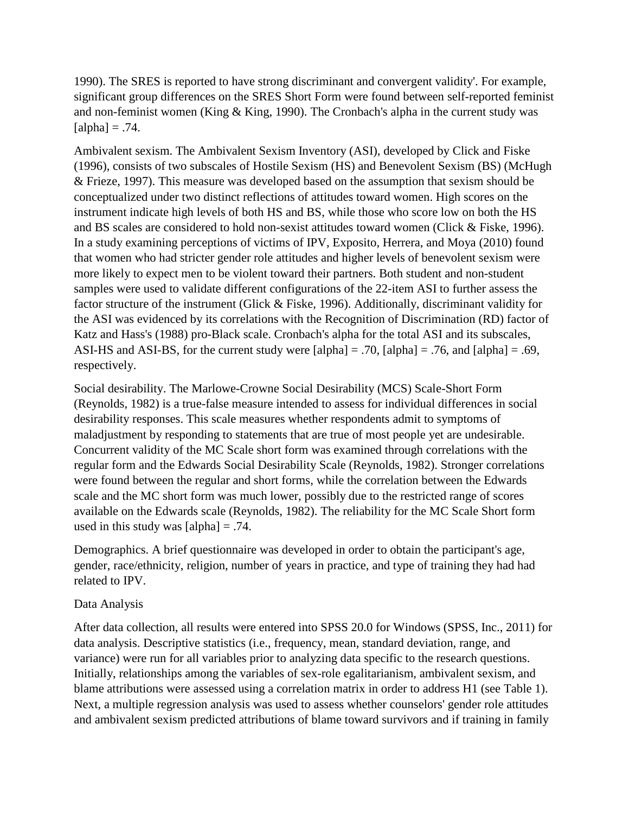1990). The SRES is reported to have strong discriminant and convergent validity'. For example, significant group differences on the SRES Short Form were found between self-reported feminist and non-feminist women (King & King, 1990). The Cronbach's alpha in the current study was  $[aIpha] = .74.$ 

Ambivalent sexism. The Ambivalent Sexism Inventory (ASI), developed by Click and Fiske (1996), consists of two subscales of Hostile Sexism (HS) and Benevolent Sexism (BS) (McHugh & Frieze, 1997). This measure was developed based on the assumption that sexism should be conceptualized under two distinct reflections of attitudes toward women. High scores on the instrument indicate high levels of both HS and BS, while those who score low on both the HS and BS scales are considered to hold non-sexist attitudes toward women (Click & Fiske, 1996). In a study examining perceptions of victims of IPV, Exposito, Herrera, and Moya (2010) found that women who had stricter gender role attitudes and higher levels of benevolent sexism were more likely to expect men to be violent toward their partners. Both student and non-student samples were used to validate different configurations of the 22-item ASI to further assess the factor structure of the instrument (Glick & Fiske, 1996). Additionally, discriminant validity for the ASI was evidenced by its correlations with the Recognition of Discrimination (RD) factor of Katz and Hass's (1988) pro-Black scale. Cronbach's alpha for the total ASI and its subscales, ASI-HS and ASI-BS, for the current study were [alpha] = .70, [alpha] = .76, and [alpha] = .69, respectively.

Social desirability. The Marlowe-Crowne Social Desirability (MCS) Scale-Short Form (Reynolds, 1982) is a true-false measure intended to assess for individual differences in social desirability responses. This scale measures whether respondents admit to symptoms of maladjustment by responding to statements that are true of most people yet are undesirable. Concurrent validity of the MC Scale short form was examined through correlations with the regular form and the Edwards Social Desirability Scale (Reynolds, 1982). Stronger correlations were found between the regular and short forms, while the correlation between the Edwards scale and the MC short form was much lower, possibly due to the restricted range of scores available on the Edwards scale (Reynolds, 1982). The reliability for the MC Scale Short form used in this study was  $[a]$ <sub>pha</sub> $] = .74$ .

Demographics. A brief questionnaire was developed in order to obtain the participant's age, gender, race/ethnicity, religion, number of years in practice, and type of training they had had related to IPV.

#### Data Analysis

After data collection, all results were entered into SPSS 20.0 for Windows (SPSS, Inc., 2011) for data analysis. Descriptive statistics (i.e., frequency, mean, standard deviation, range, and variance) were run for all variables prior to analyzing data specific to the research questions. Initially, relationships among the variables of sex-role egalitarianism, ambivalent sexism, and blame attributions were assessed using a correlation matrix in order to address H1 (see Table 1). Next, a multiple regression analysis was used to assess whether counselors' gender role attitudes and ambivalent sexism predicted attributions of blame toward survivors and if training in family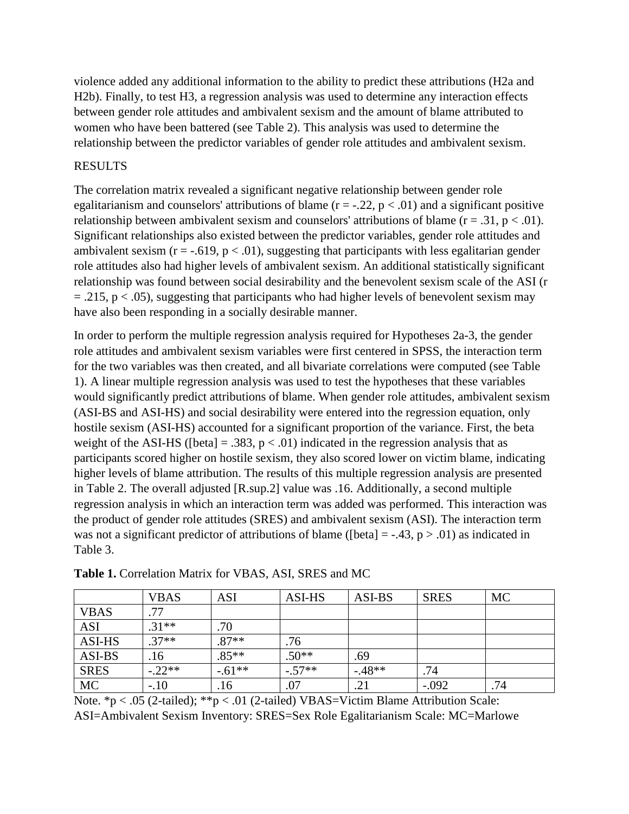violence added any additional information to the ability to predict these attributions (H2a and H2b). Finally, to test H3, a regression analysis was used to determine any interaction effects between gender role attitudes and ambivalent sexism and the amount of blame attributed to women who have been battered (see Table 2). This analysis was used to determine the relationship between the predictor variables of gender role attitudes and ambivalent sexism.

#### RESULTS

The correlation matrix revealed a significant negative relationship between gender role egalitarianism and counselors' attributions of blame ( $r = -0.22$ ,  $p < 0.01$ ) and a significant positive relationship between ambivalent sexism and counselors' attributions of blame ( $r = .31$ ,  $p < .01$ ). Significant relationships also existed between the predictor variables, gender role attitudes and ambivalent sexism ( $r = -0.619$ ,  $p < 0.01$ ), suggesting that participants with less egalitarian gender role attitudes also had higher levels of ambivalent sexism. An additional statistically significant relationship was found between social desirability and the benevolent sexism scale of the ASI (r  $=$  .215, p < .05), suggesting that participants who had higher levels of benevolent sexism may have also been responding in a socially desirable manner.

In order to perform the multiple regression analysis required for Hypotheses 2a-3, the gender role attitudes and ambivalent sexism variables were first centered in SPSS, the interaction term for the two variables was then created, and all bivariate correlations were computed (see Table 1). A linear multiple regression analysis was used to test the hypotheses that these variables would significantly predict attributions of blame. When gender role attitudes, ambivalent sexism (ASI-BS and ASI-HS) and social desirability were entered into the regression equation, only hostile sexism (ASI-HS) accounted for a significant proportion of the variance. First, the beta weight of the ASI-HS ([beta] = .383,  $p < .01$ ) indicated in the regression analysis that as participants scored higher on hostile sexism, they also scored lower on victim blame, indicating higher levels of blame attribution. The results of this multiple regression analysis are presented in Table 2. The overall adjusted [R.sup.2] value was .16. Additionally, a second multiple regression analysis in which an interaction term was added was performed. This interaction was the product of gender role attitudes (SRES) and ambivalent sexism (ASI). The interaction term was not a significant predictor of attributions of blame ([beta] = -.43,  $p > .01$ ) as indicated in Table 3.

|               | <b>VBAS</b> | <b>ASI</b> | <b>ASI-HS</b> | ASI-BS  | <b>SRES</b> | <b>MC</b> |
|---------------|-------------|------------|---------------|---------|-------------|-----------|
| <b>VBAS</b>   | .77         |            |               |         |             |           |
| <b>ASI</b>    | $.31**$     | .70        |               |         |             |           |
| <b>ASI-HS</b> | $.37**$     | $.87**$    | .76           |         |             |           |
| ASI-BS        | .16         | $.85**$    | $.50**$       | .69     |             |           |
| <b>SRES</b>   | $-.22**$    | $-.61**$   | $-57**$       | $-48**$ | .74         |           |
| <b>MC</b>     | $-.10$      | .16        | .07           | .21     | $-.092$     | .74       |

| Table 1. Correlation Matrix for VBAS, ASI, SRES and MC |  |  |  |
|--------------------------------------------------------|--|--|--|
|--------------------------------------------------------|--|--|--|

Note. \*p < .05 (2-tailed); \*\*p < .01 (2-tailed) VBAS=Victim Blame Attribution Scale: ASI=Ambivalent Sexism Inventory: SRES=Sex Role Egalitarianism Scale: MC=Marlowe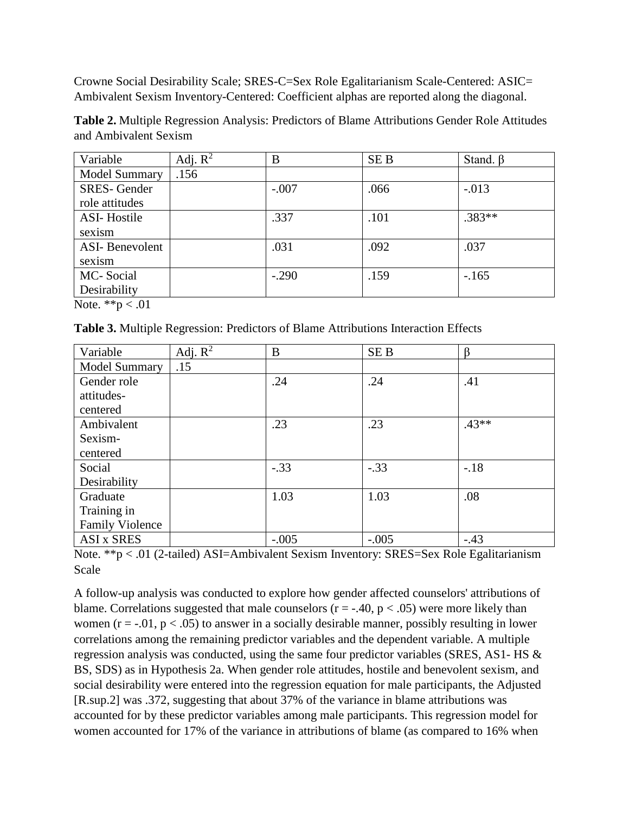Crowne Social Desirability Scale; SRES-C=Sex Role Egalitarianism Scale-Centered: ASIC= Ambivalent Sexism Inventory-Centered: Coefficient alphas are reported along the diagonal.

**Table 2.** Multiple Regression Analysis: Predictors of Blame Attributions Gender Role Attitudes and Ambivalent Sexism

| Variable                      | Adj. $R^2$ | B       | <b>SEB</b> | Stand. $\beta$ |
|-------------------------------|------------|---------|------------|----------------|
| <b>Model Summary</b>          | .156       |         |            |                |
| <b>SRES-Gender</b>            |            | $-.007$ | .066       | $-.013$        |
| role attitudes                |            |         |            |                |
| <b>ASI-Hostile</b>            |            | .337    | .101       | $.383**$       |
| sexism                        |            |         |            |                |
| <b>ASI-</b> Benevolent        |            | .031    | .092       | .037           |
| sexism                        |            |         |            |                |
| MC-Social                     |            | $-.290$ | .159       | $-.165$        |
| Desirability                  |            |         |            |                |
| $\mathbf{v}$ and $\mathbf{v}$ |            |         |            |                |

Note. \*\*p  $< .01$ 

**Table 3.** Multiple Regression: Predictors of Blame Attributions Interaction Effects

| Variable               | Adj. $R^2$ | B       | SE <sub>B</sub> | ß       |
|------------------------|------------|---------|-----------------|---------|
| <b>Model Summary</b>   | .15        |         |                 |         |
| Gender role            |            | .24     | .24             | .41     |
| attitudes-             |            |         |                 |         |
| centered               |            |         |                 |         |
| Ambivalent             |            | .23     | .23             | $.43**$ |
| Sexism-                |            |         |                 |         |
| centered               |            |         |                 |         |
| Social                 |            | $-.33$  | $-.33$          | $-.18$  |
| Desirability           |            |         |                 |         |
| Graduate               |            | 1.03    | 1.03            | .08     |
| Training in            |            |         |                 |         |
| <b>Family Violence</b> |            |         |                 |         |
| <b>ASI x SRES</b>      |            | $-.005$ | $-.005$         | $-.43$  |

Note. \*\*p < .01 (2-tailed) ASI=Ambivalent Sexism Inventory: SRES=Sex Role Egalitarianism Scale

A follow-up analysis was conducted to explore how gender affected counselors' attributions of blame. Correlations suggested that male counselors ( $r = -0.40$ ,  $p < 0.05$ ) were more likely than women ( $r = -0.01$ ,  $p < 0.05$ ) to answer in a socially desirable manner, possibly resulting in lower correlations among the remaining predictor variables and the dependent variable. A multiple regression analysis was conducted, using the same four predictor variables (SRES, AS1- HS & BS, SDS) as in Hypothesis 2a. When gender role attitudes, hostile and benevolent sexism, and social desirability were entered into the regression equation for male participants, the Adjusted [R.sup.2] was .372, suggesting that about 37% of the variance in blame attributions was accounted for by these predictor variables among male participants. This regression model for women accounted for 17% of the variance in attributions of blame (as compared to 16% when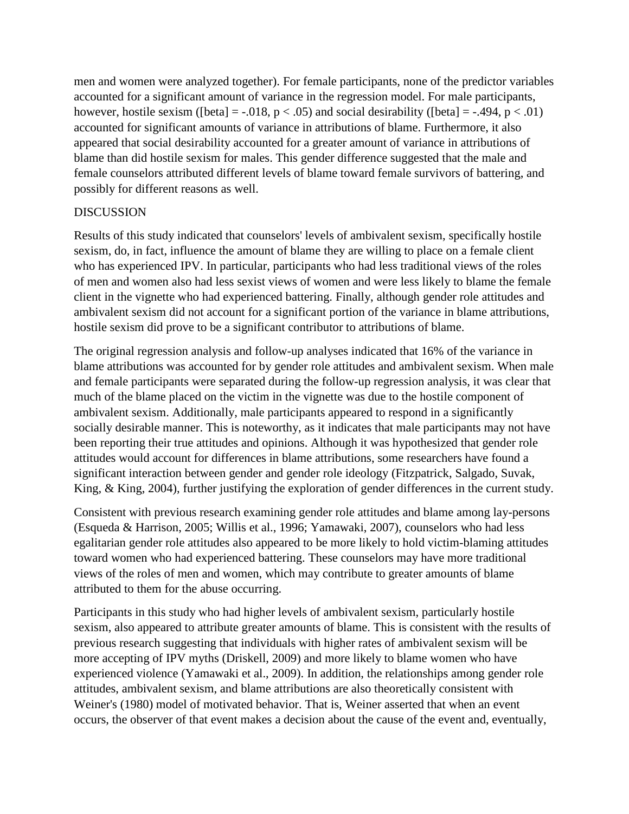men and women were analyzed together). For female participants, none of the predictor variables accounted for a significant amount of variance in the regression model. For male participants, however, hostile sexism ([beta] = -.018,  $p < .05$ ) and social desirability ([beta] = -.494,  $p < .01$ ) accounted for significant amounts of variance in attributions of blame. Furthermore, it also appeared that social desirability accounted for a greater amount of variance in attributions of blame than did hostile sexism for males. This gender difference suggested that the male and female counselors attributed different levels of blame toward female survivors of battering, and possibly for different reasons as well.

## **DISCUSSION**

Results of this study indicated that counselors' levels of ambivalent sexism, specifically hostile sexism, do, in fact, influence the amount of blame they are willing to place on a female client who has experienced IPV. In particular, participants who had less traditional views of the roles of men and women also had less sexist views of women and were less likely to blame the female client in the vignette who had experienced battering. Finally, although gender role attitudes and ambivalent sexism did not account for a significant portion of the variance in blame attributions, hostile sexism did prove to be a significant contributor to attributions of blame.

The original regression analysis and follow-up analyses indicated that 16% of the variance in blame attributions was accounted for by gender role attitudes and ambivalent sexism. When male and female participants were separated during the follow-up regression analysis, it was clear that much of the blame placed on the victim in the vignette was due to the hostile component of ambivalent sexism. Additionally, male participants appeared to respond in a significantly socially desirable manner. This is noteworthy, as it indicates that male participants may not have been reporting their true attitudes and opinions. Although it was hypothesized that gender role attitudes would account for differences in blame attributions, some researchers have found a significant interaction between gender and gender role ideology (Fitzpatrick, Salgado, Suvak, King, & King, 2004), further justifying the exploration of gender differences in the current study.

Consistent with previous research examining gender role attitudes and blame among lay-persons (Esqueda & Harrison, 2005; Willis et al., 1996; Yamawaki, 2007), counselors who had less egalitarian gender role attitudes also appeared to be more likely to hold victim-blaming attitudes toward women who had experienced battering. These counselors may have more traditional views of the roles of men and women, which may contribute to greater amounts of blame attributed to them for the abuse occurring.

Participants in this study who had higher levels of ambivalent sexism, particularly hostile sexism, also appeared to attribute greater amounts of blame. This is consistent with the results of previous research suggesting that individuals with higher rates of ambivalent sexism will be more accepting of IPV myths (Driskell, 2009) and more likely to blame women who have experienced violence (Yamawaki et al., 2009). In addition, the relationships among gender role attitudes, ambivalent sexism, and blame attributions are also theoretically consistent with Weiner's (1980) model of motivated behavior. That is, Weiner asserted that when an event occurs, the observer of that event makes a decision about the cause of the event and, eventually,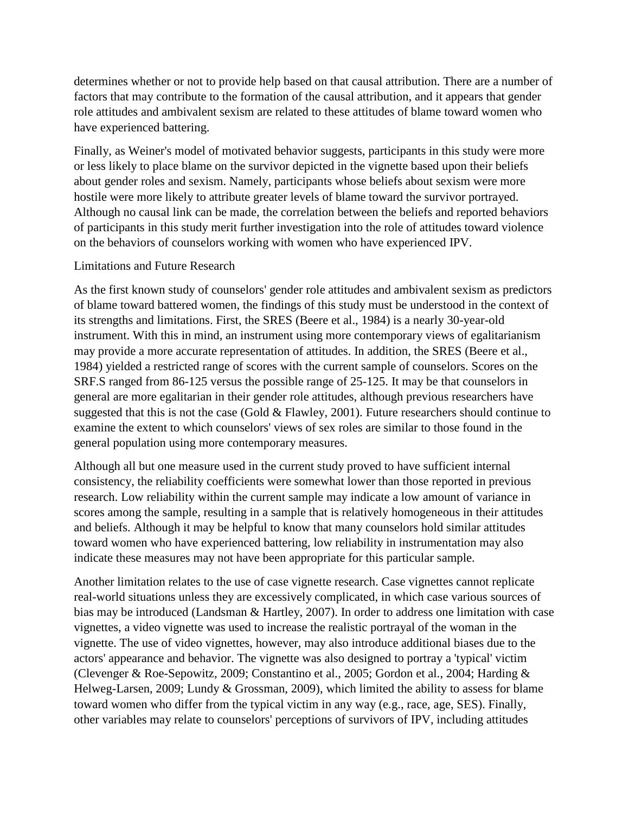determines whether or not to provide help based on that causal attribution. There are a number of factors that may contribute to the formation of the causal attribution, and it appears that gender role attitudes and ambivalent sexism are related to these attitudes of blame toward women who have experienced battering.

Finally, as Weiner's model of motivated behavior suggests, participants in this study were more or less likely to place blame on the survivor depicted in the vignette based upon their beliefs about gender roles and sexism. Namely, participants whose beliefs about sexism were more hostile were more likely to attribute greater levels of blame toward the survivor portrayed. Although no causal link can be made, the correlation between the beliefs and reported behaviors of participants in this study merit further investigation into the role of attitudes toward violence on the behaviors of counselors working with women who have experienced IPV.

#### Limitations and Future Research

As the first known study of counselors' gender role attitudes and ambivalent sexism as predictors of blame toward battered women, the findings of this study must be understood in the context of its strengths and limitations. First, the SRES (Beere et al., 1984) is a nearly 30-year-old instrument. With this in mind, an instrument using more contemporary views of egalitarianism may provide a more accurate representation of attitudes. In addition, the SRES (Beere et al., 1984) yielded a restricted range of scores with the current sample of counselors. Scores on the SRF.S ranged from 86-125 versus the possible range of 25-125. It may be that counselors in general are more egalitarian in their gender role attitudes, although previous researchers have suggested that this is not the case (Gold & Flawley, 2001). Future researchers should continue to examine the extent to which counselors' views of sex roles are similar to those found in the general population using more contemporary measures.

Although all but one measure used in the current study proved to have sufficient internal consistency, the reliability coefficients were somewhat lower than those reported in previous research. Low reliability within the current sample may indicate a low amount of variance in scores among the sample, resulting in a sample that is relatively homogeneous in their attitudes and beliefs. Although it may be helpful to know that many counselors hold similar attitudes toward women who have experienced battering, low reliability in instrumentation may also indicate these measures may not have been appropriate for this particular sample.

Another limitation relates to the use of case vignette research. Case vignettes cannot replicate real-world situations unless they are excessively complicated, in which case various sources of bias may be introduced (Landsman & Hartley, 2007). In order to address one limitation with case vignettes, a video vignette was used to increase the realistic portrayal of the woman in the vignette. The use of video vignettes, however, may also introduce additional biases due to the actors' appearance and behavior. The vignette was also designed to portray a 'typical' victim (Clevenger & Roe-Sepowitz, 2009; Constantino et al., 2005; Gordon et al., 2004; Harding & Helweg-Larsen, 2009; Lundy & Grossman, 2009), which limited the ability to assess for blame toward women who differ from the typical victim in any way (e.g., race, age, SES). Finally, other variables may relate to counselors' perceptions of survivors of IPV, including attitudes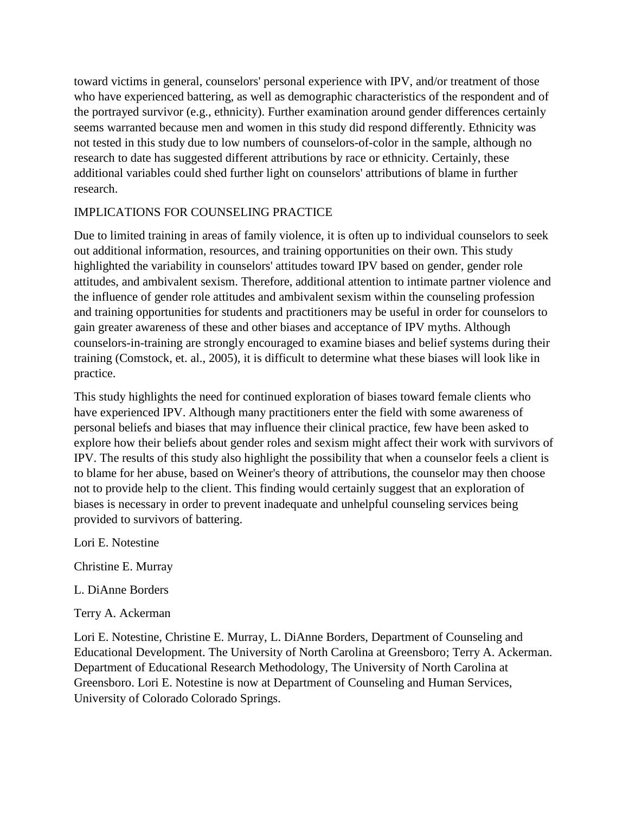toward victims in general, counselors' personal experience with IPV, and/or treatment of those who have experienced battering, as well as demographic characteristics of the respondent and of the portrayed survivor (e.g., ethnicity). Further examination around gender differences certainly seems warranted because men and women in this study did respond differently. Ethnicity was not tested in this study due to low numbers of counselors-of-color in the sample, although no research to date has suggested different attributions by race or ethnicity. Certainly, these additional variables could shed further light on counselors' attributions of blame in further research.

# IMPLICATIONS FOR COUNSELING PRACTICE

Due to limited training in areas of family violence, it is often up to individual counselors to seek out additional information, resources, and training opportunities on their own. This study highlighted the variability in counselors' attitudes toward IPV based on gender, gender role attitudes, and ambivalent sexism. Therefore, additional attention to intimate partner violence and the influence of gender role attitudes and ambivalent sexism within the counseling profession and training opportunities for students and practitioners may be useful in order for counselors to gain greater awareness of these and other biases and acceptance of IPV myths. Although counselors-in-training are strongly encouraged to examine biases and belief systems during their training (Comstock, et. al., 2005), it is difficult to determine what these biases will look like in practice.

This study highlights the need for continued exploration of biases toward female clients who have experienced IPV. Although many practitioners enter the field with some awareness of personal beliefs and biases that may influence their clinical practice, few have been asked to explore how their beliefs about gender roles and sexism might affect their work with survivors of IPV. The results of this study also highlight the possibility that when a counselor feels a client is to blame for her abuse, based on Weiner's theory of attributions, the counselor may then choose not to provide help to the client. This finding would certainly suggest that an exploration of biases is necessary in order to prevent inadequate and unhelpful counseling services being provided to survivors of battering.

Lori E. Notestine

Christine E. Murray

L. DiAnne Borders

Terry A. Ackerman

Lori E. Notestine, Christine E. Murray, L. DiAnne Borders, Department of Counseling and Educational Development. The University of North Carolina at Greensboro; Terry A. Ackerman. Department of Educational Research Methodology, The University of North Carolina at Greensboro. Lori E. Notestine is now at Department of Counseling and Human Services, University of Colorado Colorado Springs.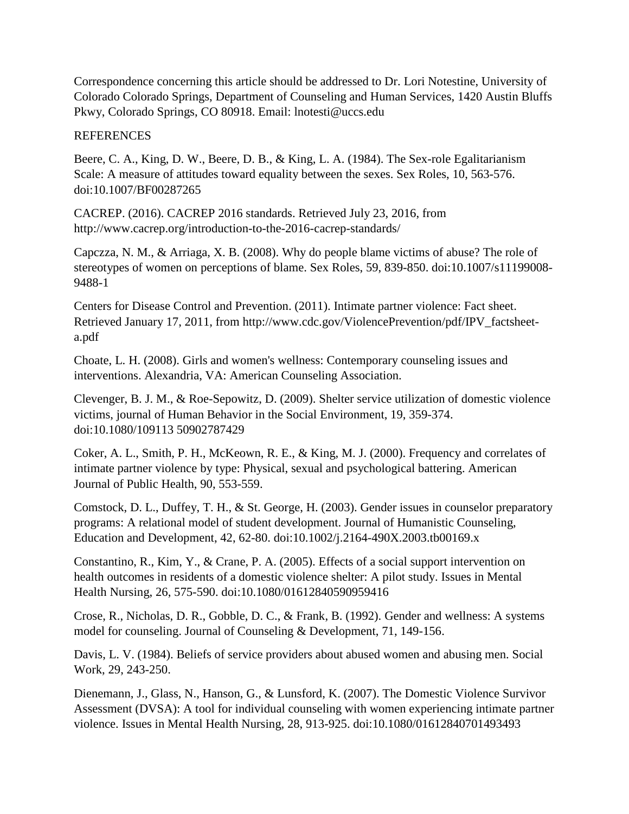Correspondence concerning this article should be addressed to Dr. Lori Notestine, University of Colorado Colorado Springs, Department of Counseling and Human Services, 1420 Austin Bluffs Pkwy, Colorado Springs, CO 80918. Email: lnotesti@uccs.edu

#### **REFERENCES**

Beere, C. A., King, D. W., Beere, D. B., & King, L. A. (1984). The Sex-role Egalitarianism Scale: A measure of attitudes toward equality between the sexes. Sex Roles, 10, 563-576. doi:10.1007/BF00287265

CACREP. (2016). CACREP 2016 standards. Retrieved July 23, 2016, from http://www.cacrep.org/introduction-to-the-2016-cacrep-standards/

Capczza, N. M., & Arriaga, X. B. (2008). Why do people blame victims of abuse? The role of stereotypes of women on perceptions of blame. Sex Roles, 59, 839-850. doi:10.1007/s11199008- 9488-1

Centers for Disease Control and Prevention. (2011). Intimate partner violence: Fact sheet. Retrieved January 17, 2011, from http://www.cdc.gov/ViolencePrevention/pdf/IPV\_factsheeta.pdf

Choate, L. H. (2008). Girls and women's wellness: Contemporary counseling issues and interventions. Alexandria, VA: American Counseling Association.

Clevenger, B. J. M., & Roe-Sepowitz, D. (2009). Shelter service utilization of domestic violence victims, journal of Human Behavior in the Social Environment, 19, 359-374. doi:10.1080/109113 50902787429

Coker, A. L., Smith, P. H., McKeown, R. E., & King, M. J. (2000). Frequency and correlates of intimate partner violence by type: Physical, sexual and psychological battering. American Journal of Public Health, 90, 553-559.

Comstock, D. L., Duffey, T. H., & St. George, H. (2003). Gender issues in counselor preparatory programs: A relational model of student development. Journal of Humanistic Counseling, Education and Development, 42, 62-80. doi:10.1002/j.2164-490X.2003.tb00169.x

Constantino, R., Kim, Y., & Crane, P. A. (2005). Effects of a social support intervention on health outcomes in residents of a domestic violence shelter: A pilot study. Issues in Mental Health Nursing, 26, 575-590. doi:10.1080/01612840590959416

Crose, R., Nicholas, D. R., Gobble, D. C., & Frank, B. (1992). Gender and wellness: A systems model for counseling. Journal of Counseling & Development, 71, 149-156.

Davis, L. V. (1984). Beliefs of service providers about abused women and abusing men. Social Work, 29, 243-250.

Dienemann, J., Glass, N., Hanson, G., & Lunsford, K. (2007). The Domestic Violence Survivor Assessment (DVSA): A tool for individual counseling with women experiencing intimate partner violence. Issues in Mental Health Nursing, 28, 913-925. doi:10.1080/01612840701493493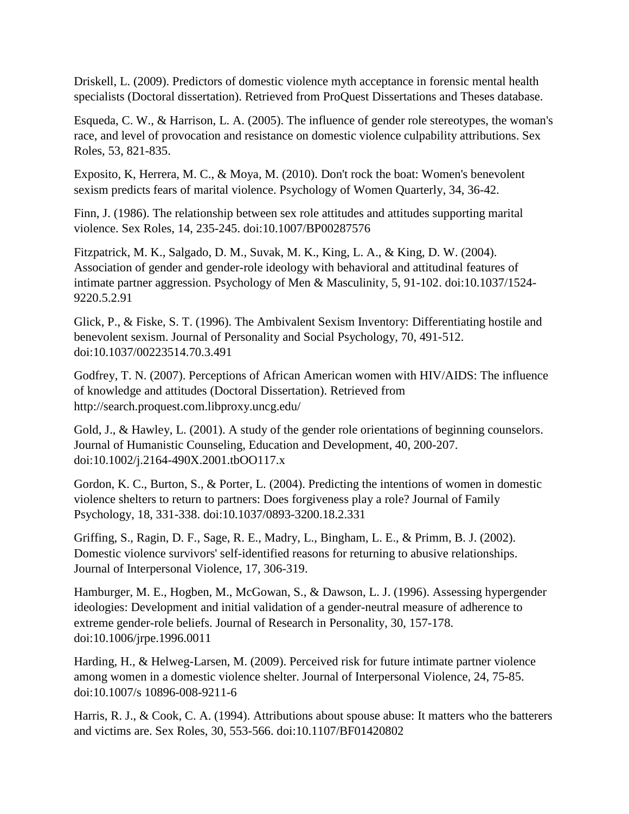Driskell, L. (2009). Predictors of domestic violence myth acceptance in forensic mental health specialists (Doctoral dissertation). Retrieved from ProQuest Dissertations and Theses database.

Esqueda, C. W., & Harrison, L. A. (2005). The influence of gender role stereotypes, the woman's race, and level of provocation and resistance on domestic violence culpability attributions. Sex Roles, 53, 821-835.

Exposito, K, Herrera, M. C., & Moya, M. (2010). Don't rock the boat: Women's benevolent sexism predicts fears of marital violence. Psychology of Women Quarterly, 34, 36-42.

Finn, J. (1986). The relationship between sex role attitudes and attitudes supporting marital violence. Sex Roles, 14, 235-245. doi:10.1007/BP00287576

Fitzpatrick, M. K., Salgado, D. M., Suvak, M. K., King, L. A., & King, D. W. (2004). Association of gender and gender-role ideology with behavioral and attitudinal features of intimate partner aggression. Psychology of Men & Masculinity, 5, 91-102. doi:10.1037/1524- 9220.5.2.91

Glick, P., & Fiske, S. T. (1996). The Ambivalent Sexism Inventory: Differentiating hostile and benevolent sexism. Journal of Personality and Social Psychology, 70, 491-512. doi:10.1037/00223514.70.3.491

Godfrey, T. N. (2007). Perceptions of African American women with HIV/AIDS: The influence of knowledge and attitudes (Doctoral Dissertation). Retrieved from http://search.proquest.com.libproxy.uncg.edu/

Gold, J., & Hawley, L. (2001). A study of the gender role orientations of beginning counselors. Journal of Humanistic Counseling, Education and Development, 40, 200-207. doi:10.1002/j.2164-490X.2001.tbOO117.x

Gordon, K. C., Burton, S., & Porter, L. (2004). Predicting the intentions of women in domestic violence shelters to return to partners: Does forgiveness play a role? Journal of Family Psychology, 18, 331-338. doi:10.1037/0893-3200.18.2.331

Griffing, S., Ragin, D. F., Sage, R. E., Madry, L., Bingham, L. E., & Primm, B. J. (2002). Domestic violence survivors' self-identified reasons for returning to abusive relationships. Journal of Interpersonal Violence, 17, 306-319.

Hamburger, M. E., Hogben, M., McGowan, S., & Dawson, L. J. (1996). Assessing hypergender ideologies: Development and initial validation of a gender-neutral measure of adherence to extreme gender-role beliefs. Journal of Research in Personality, 30, 157-178. doi:10.1006/jrpe.1996.0011

Harding, H., & Helweg-Larsen, M. (2009). Perceived risk for future intimate partner violence among women in a domestic violence shelter. Journal of Interpersonal Violence, 24, 75-85. doi:10.1007/s 10896-008-9211-6

Harris, R. J., & Cook, C. A. (1994). Attributions about spouse abuse: It matters who the batterers and victims are. Sex Roles, 30, 553-566. doi:10.1107/BF01420802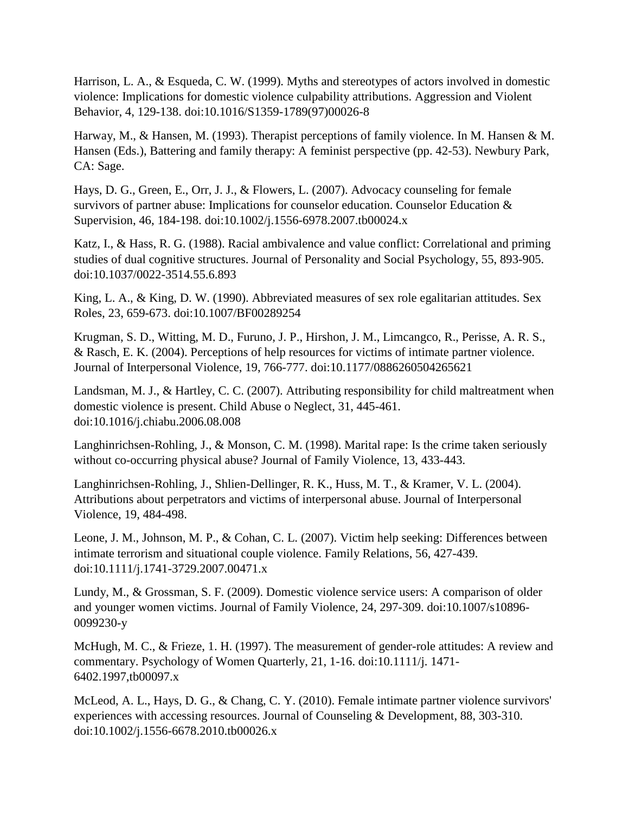Harrison, L. A., & Esqueda, C. W. (1999). Myths and stereotypes of actors involved in domestic violence: Implications for domestic violence culpability attributions. Aggression and Violent Behavior, 4, 129-138. doi:10.1016/S1359-1789(97)00026-8

Harway, M., & Hansen, M. (1993). Therapist perceptions of family violence. In M. Hansen & M. Hansen (Eds.), Battering and family therapy: A feminist perspective (pp. 42-53). Newbury Park, CA: Sage.

Hays, D. G., Green, E., Orr, J. J., & Flowers, L. (2007). Advocacy counseling for female survivors of partner abuse: Implications for counselor education. Counselor Education & Supervision, 46, 184-198. doi:10.1002/j.1556-6978.2007.tb00024.x

Katz, I., & Hass, R. G. (1988). Racial ambivalence and value conflict: Correlational and priming studies of dual cognitive structures. Journal of Personality and Social Psychology, 55, 893-905. doi:10.1037/0022-3514.55.6.893

King, L. A., & King, D. W. (1990). Abbreviated measures of sex role egalitarian attitudes. Sex Roles, 23, 659-673. doi:10.1007/BF00289254

Krugman, S. D., Witting, M. D., Furuno, J. P., Hirshon, J. M., Limcangco, R., Perisse, A. R. S., & Rasch, E. K. (2004). Perceptions of help resources for victims of intimate partner violence. Journal of Interpersonal Violence, 19, 766-777. doi:10.1177/0886260504265621

Landsman, M. J., & Hartley, C. C. (2007). Attributing responsibility for child maltreatment when domestic violence is present. Child Abuse o Neglect, 31, 445-461. doi:10.1016/j.chiabu.2006.08.008

Langhinrichsen-Rohling, J., & Monson, C. M. (1998). Marital rape: Is the crime taken seriously without co-occurring physical abuse? Journal of Family Violence, 13, 433-443.

Langhinrichsen-Rohling, J., Shlien-Dellinger, R. K., Huss, M. T., & Kramer, V. L. (2004). Attributions about perpetrators and victims of interpersonal abuse. Journal of Interpersonal Violence, 19, 484-498.

Leone, J. M., Johnson, M. P., & Cohan, C. L. (2007). Victim help seeking: Differences between intimate terrorism and situational couple violence. Family Relations, 56, 427-439. doi:10.1111/j.1741-3729.2007.00471.x

Lundy, M., & Grossman, S. F. (2009). Domestic violence service users: A comparison of older and younger women victims. Journal of Family Violence, 24, 297-309. doi:10.1007/s10896- 0099230-y

McHugh, M. C., & Frieze, 1. H. (1997). The measurement of gender-role attitudes: A review and commentary. Psychology of Women Quarterly, 21, 1-16. doi:10.1111/j. 1471- 6402.1997,tb00097.x

McLeod, A. L., Hays, D. G., & Chang, C. Y. (2010). Female intimate partner violence survivors' experiences with accessing resources. Journal of Counseling & Development, 88, 303-310. doi:10.1002/j.1556-6678.2010.tb00026.x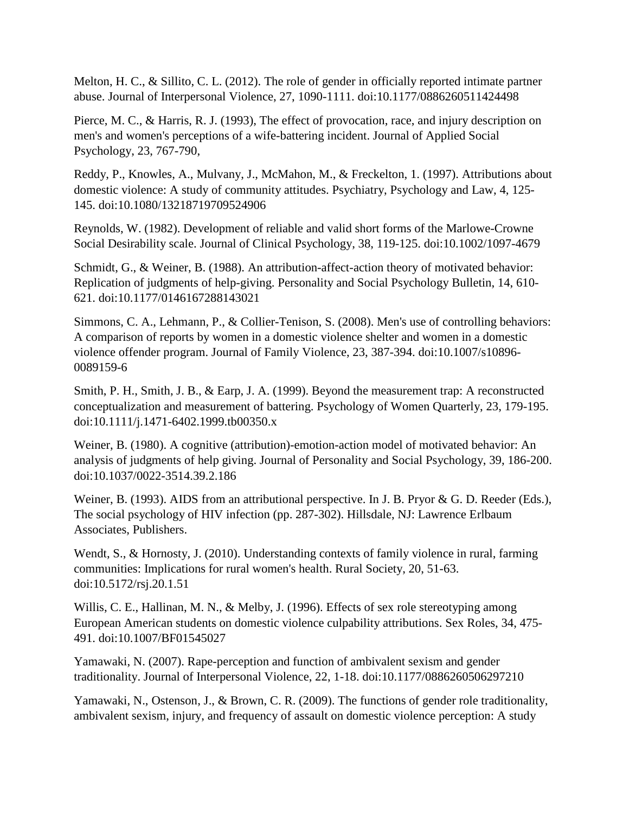Melton, H. C., & Sillito, C. L. (2012). The role of gender in officially reported intimate partner abuse. Journal of Interpersonal Violence, 27, 1090-1111. doi:10.1177/0886260511424498

Pierce, M. C., & Harris, R. J. (1993), The effect of provocation, race, and injury description on men's and women's perceptions of a wife-battering incident. Journal of Applied Social Psychology, 23, 767-790,

Reddy, P., Knowles, A., Mulvany, J., McMahon, M., & Freckelton, 1. (1997). Attributions about domestic violence: A study of community attitudes. Psychiatry, Psychology and Law, 4, 125- 145. doi:10.1080/13218719709524906

Reynolds, W. (1982). Development of reliable and valid short forms of the Marlowe-Crowne Social Desirability scale. Journal of Clinical Psychology, 38, 119-125. doi:10.1002/1097-4679

Schmidt, G., & Weiner, B. (1988). An attribution-affect-action theory of motivated behavior: Replication of judgments of help-giving. Personality and Social Psychology Bulletin, 14, 610- 621. doi:10.1177/0146167288143021

Simmons, C. A., Lehmann, P., & Collier-Tenison, S. (2008). Men's use of controlling behaviors: A comparison of reports by women in a domestic violence shelter and women in a domestic violence offender program. Journal of Family Violence, 23, 387-394. doi:10.1007/s10896- 0089159-6

Smith, P. H., Smith, J. B., & Earp, J. A. (1999). Beyond the measurement trap: A reconstructed conceptualization and measurement of battering. Psychology of Women Quarterly, 23, 179-195. doi:10.1111/j.1471-6402.1999.tb00350.x

Weiner, B. (1980). A cognitive (attribution)-emotion-action model of motivated behavior: An analysis of judgments of help giving. Journal of Personality and Social Psychology, 39, 186-200. doi:10.1037/0022-3514.39.2.186

Weiner, B. (1993). AIDS from an attributional perspective. In J. B. Pryor & G. D. Reeder (Eds.), The social psychology of HIV infection (pp. 287-302). Hillsdale, NJ: Lawrence Erlbaum Associates, Publishers.

Wendt, S., & Hornosty, J. (2010). Understanding contexts of family violence in rural, farming communities: Implications for rural women's health. Rural Society, 20, 51-63. doi:10.5172/rsj.20.1.51

Willis, C. E., Hallinan, M. N., & Melby, J. (1996). Effects of sex role stereotyping among European American students on domestic violence culpability attributions. Sex Roles, 34, 475- 491. doi:10.1007/BF01545027

Yamawaki, N. (2007). Rape-perception and function of ambivalent sexism and gender traditionality. Journal of Interpersonal Violence, 22, 1-18. doi:10.1177/0886260506297210

Yamawaki, N., Ostenson, J., & Brown, C. R. (2009). The functions of gender role traditionality, ambivalent sexism, injury, and frequency of assault on domestic violence perception: A study